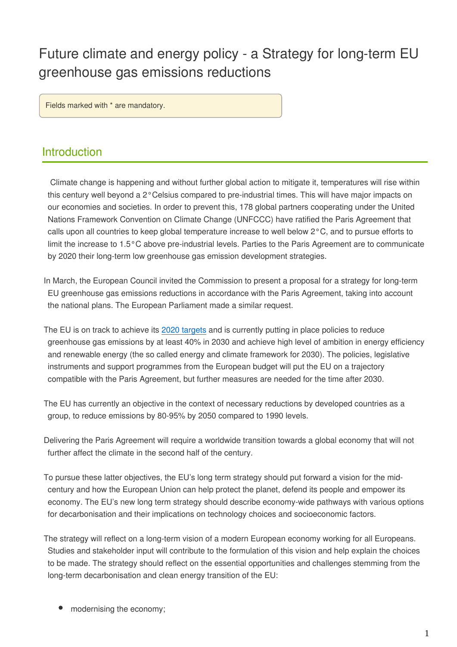Future climate and energy policy - a Strategy for long-term EU greenhouse gas emissions reductions

Fields marked with \* are mandatory.

## **Introduction**

 Climate change is happening and without further global action to mitigate it, temperatures will rise within this century well beyond a 2°Celsius compared to pre-industrial times. This will have major impacts on our economies and societies. In order to prevent this, 178 global partners cooperating under the United Nations Framework Convention on Climate Change (UNFCCC) have ratified the Paris Agreement that calls upon all countries to keep global temperature increase to well below 2°C, and to pursue efforts to limit the increase to 1.5°C above pre-industrial levels. Parties to the Paris Agreement are to communicate by 2020 their long-term low greenhouse gas emission development strategies.

In March, the European Council invited the Commission to present a proposal for a strategy for long-term EU greenhouse gas emissions reductions in accordance with the Paris Agreement, taking into account the national plans. The European Parliament made a similar request.

The EU is on track to achieve its [2020 targets](https://ec.europa.eu/commission/sites/beta-political/files/third-report-state-energy-union_en.pdf) and is currently putting in place policies to reduce greenhouse gas emissions by at least 40% in 2030 and achieve high level of ambition in energy efficiency and renewable energy (the so called energy and climate framework for 2030). The policies, legislative instruments and support programmes from the European budget will put the EU on a trajectory compatible with the Paris Agreement, but further measures are needed for the time after 2030.

The EU has currently an objective in the context of necessary reductions by developed countries as a group, to reduce emissions by 80-95% by 2050 compared to 1990 levels.

Delivering the Paris Agreement will require a worldwide transition towards a global economy that will not further affect the climate in the second half of the century.

To pursue these latter objectives, the EU's long term strategy should put forward a vision for the midcentury and how the European Union can help protect the planet, defend its people and empower its economy. The EU's new long term strategy should describe economy-wide pathways with various options for decarbonisation and their implications on technology choices and socioeconomic factors.

The strategy will reflect on a long-term vision of a modern European economy working for all Europeans. Studies and stakeholder input will contribute to the formulation of this vision and help explain the choices to be made. The strategy should reflect on the essential opportunities and challenges stemming from the long-term decarbonisation and clean energy transition of the EU:

modernising the economy;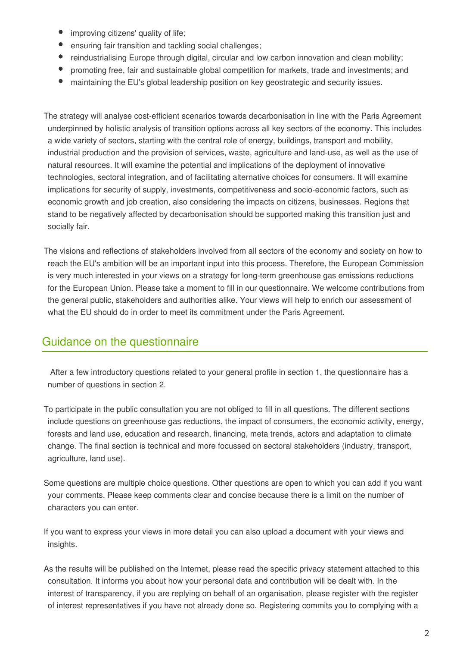- improving citizens' quality of life;
- ensuring fair transition and tackling social challenges;
- $\bullet$ reindustrialising Europe through digital, circular and low carbon innovation and clean mobility;
- promoting free, fair and sustainable global competition for markets, trade and investments; and
- $\bullet$ maintaining the EU's global leadership position on key geostrategic and security issues.

The strategy will analyse cost-efficient scenarios towards decarbonisation in line with the Paris Agreement underpinned by holistic analysis of transition options across all key sectors of the economy. This includes a wide variety of sectors, starting with the central role of energy, buildings, transport and mobility, industrial production and the provision of services, waste, agriculture and land-use, as well as the use of natural resources. It will examine the potential and implications of the deployment of innovative technologies, sectoral integration, and of facilitating alternative choices for consumers. It will examine implications for security of supply, investments, competitiveness and socio-economic factors, such as economic growth and job creation, also considering the impacts on citizens, businesses. Regions that stand to be negatively affected by decarbonisation should be supported making this transition just and socially fair.

The visions and reflections of stakeholders involved from all sectors of the economy and society on how to reach the EU's ambition will be an important input into this process. Therefore, the European Commission is very much interested in your views on a strategy for long-term greenhouse gas emissions reductions for the European Union. Please take a moment to fill in our questionnaire. We welcome contributions from the general public, stakeholders and authorities alike. Your views will help to enrich our assessment of what the EU should do in order to meet its commitment under the Paris Agreement.

## Guidance on the questionnaire

 After a few introductory questions related to your general profile in section 1, the questionnaire has a number of questions in section 2.

To participate in the public consultation you are not obliged to fill in all questions. The different sections include questions on greenhouse gas reductions, the impact of consumers, the economic activity, energy, forests and land use, education and research, financing, meta trends, actors and adaptation to climate change. The final section is technical and more focussed on sectoral stakeholders (industry, transport, agriculture, land use).

Some questions are multiple choice questions. Other questions are open to which you can add if you want your comments. Please keep comments clear and concise because there is a limit on the number of characters you can enter.

If you want to express your views in more detail you can also upload a document with your views and insights.

As the results will be published on the Internet, please read the specific privacy statement attached to this consultation. It informs you about how your personal data and contribution will be dealt with. In the interest of transparency, if you are replying on behalf of an organisation, please register with the register of interest representatives if you have not already done so. Registering commits you to complying with a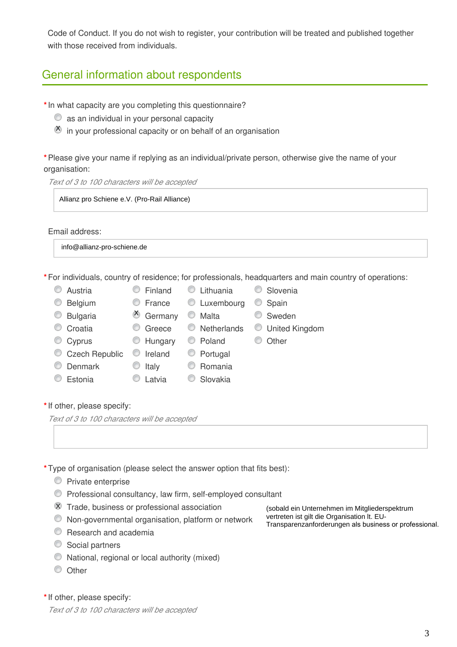Code of Conduct. If you do not wish to register, your contribution will be treated and published together with those received from individuals.

# General information about respondents

**\***In what capacity are you completing this questionnaire?

- $\bullet$  as an individual in your personal capacity
- $\delta$  in your professional capacity or on behalf of an organisation

**\***Please give your name if replying as an individual/private person, otherwise give the name of your organisation:

*Text of 3 to 100 characters will be accepted*

Allianz pro Schiene e.V. (Pro-Rail Alliance)

Email address:

info@allianz-pro-schiene.de

**\***For individuals, country of residence; for professionals, headquarters and main country of operations:

- C Austria C Finland C Lithuania C Slovenia
- C Belgium C France C Luxembourg C Spain
- 
- 
- 
- - -
- $\degree$  Czech Republic  $\degree$  Ireland  $\degree$  Portugal
- C Denmark C Italy C Romania
- C Estonia C Latvia C Slovakia
- 
- 
- Bulgaria  $\bullet$  Germany © Malta  $\bullet$  Sweden
- C Croatia **C** Greece C Netherlands C United Kingdom
- C Cyprus C Hungary C Poland C Other
- **\***If other, please specify:

*Text of 3 to 100 characters will be accepted*

**\***Type of organisation (please select the answer option that fits best):

- **Private enterprise**
- Professional consultancy, law firm, self-employed consultant
- Trade, business or professional association X (sobald ein Unternehmen im Mitgliederspektrum
- Non-governmental organisation, platform or network
- **C** Research and academia
- Social partners
- National, regional or local authority (mixed)
- $\circ$  Other

**\***If other, please specify:

*Text of 3 to 100 characters will be accepted*

vertreten ist gilt die Organisation lt. EU-Transparenzanforderungen als business or professional.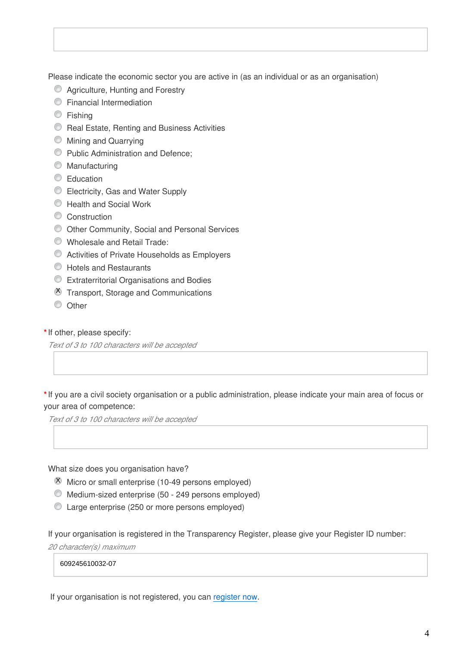Please indicate the economic sector you are active in (as an individual or as an organisation)

- **C** Agriculture, Hunting and Forestry
- **Einancial Intermediation**
- C Fishing
- **C** Real Estate, Renting and Business Activities
- $\bullet$  Mining and Quarrying
- **Public Administration and Defence:**
- Manufacturing
- C Education
- **Electricity, Gas and Water Supply**
- Health and Social Work
- Construction
- Other Community, Social and Personal Services
- Wholesale and Retail Trade:
- Activities of Private Households as Employers
- **C** Hotels and Restaurants
- Extraterritorial Organisations and Bodies
- **X** Transport, Storage and Communications
- C Other

**\***If other, please specify:

*Text of 3 to 100 characters will be accepted*

**\***If you are a civil society organisation or a public administration, please indicate your main area of focus or your area of competence:

*Text of 3 to 100 characters will be accepted*

What size does you organisation have?

- Micro or small enterprise (10-49 persons employed) X
- Medium-sized enterprise (50 249 persons employed)
- Large enterprise (250 or more persons employed)

If your organisation is registered in the Transparency Register, please give your Register ID number: *20 character(s) maximum*

609245610032-07

If your organisation is not registered, you can [register now](http://ec.europa.eu/transparencyregister/public/ri/registering.do?locale=en#en).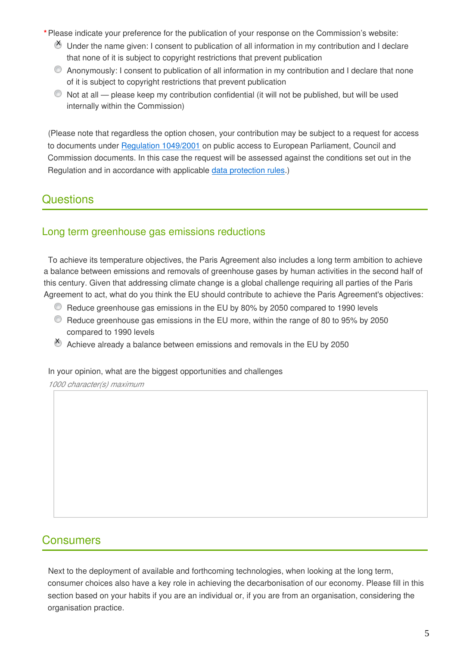- **\***Please indicate your preference for the publication of your response on the Commission's website:
	- $\delta$  Under the name given: I consent to publication of all information in my contribution and I declare that none of it is subject to copyright restrictions that prevent publication
	- Anonymously: I consent to publication of all information in my contribution and I declare that none of it is subject to copyright restrictions that prevent publication
	- $\bullet$  Not at all please keep my contribution confidential (it will not be published, but will be used internally within the Commission)

(Please note that regardless the option chosen, your contribution may be subject to a request for access to documents under [Regulation 1049/2001](http://eur-lex.europa.eu/legal-content/EN/TXT/?uri=CELEX:32001R1049) on public access to European Parliament, Council and Commission documents. In this case the request will be assessed against the conditions set out in the Regulation and in accordance with applicable [data protection rules](http://ec.europa.eu/justice/data-protection/).)

# **Questions**

## Long term greenhouse gas emissions reductions

To achieve its temperature objectives, the Paris Agreement also includes a long term ambition to achieve a balance between emissions and removals of greenhouse gases by human activities in the second half of this century. Given that addressing climate change is a global challenge requiring all parties of the Paris Agreement to act, what do you think the EU should contribute to achieve the Paris Agreement's objectives:

- Reduce greenhouse gas emissions in the EU by 80% by 2050 compared to 1990 levels
- Reduce greenhouse gas emissions in the EU more, within the range of 80 to 95% by 2050 compared to 1990 levels
- $\bullet$  Achieve already a balance between emissions and removals in the EU by 2050

In your opinion, what are the biggest opportunities and challenges

*1000 character(s) maximum*

## Consumers

Next to the deployment of available and forthcoming technologies, when looking at the long term, consumer choices also have a key role in achieving the decarbonisation of our economy. Please fill in this section based on your habits if you are an individual or, if you are from an organisation, considering the organisation practice.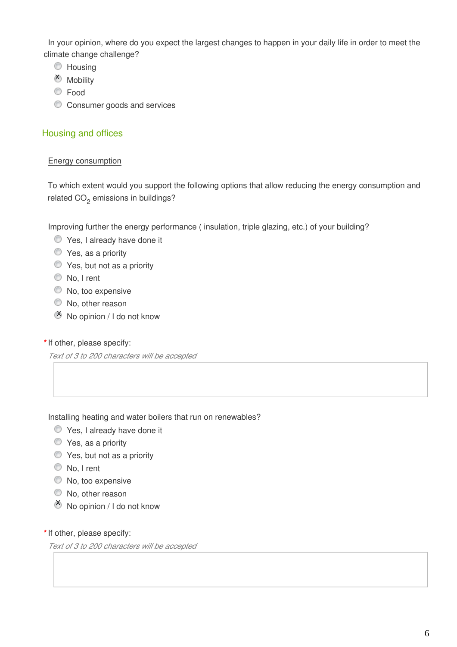In your opinion, where do you expect the largest changes to happen in your daily life in order to meet the climate change challenge?

- C Housing
- **X** Mobility
- Food
- Consumer goods and services

### Housing and offices

#### Energy consumption

To which extent would you support the following options that allow reducing the energy consumption and related CO<sub>2</sub> emissions in buildings?

Improving further the energy performance ( insulation, triple glazing, etc.) of your building?

- **C** Yes, I already have done it
- **Yes, as a priority**
- **C** Yes, but not as a priority
- $\circledcirc$  No, I rent
- $\bullet$  No, too expensive
- $\bullet$  No, other reason
- $\mathbb{X}$  No opinion / I do not know

**\***If other, please specify:

*Text of 3 to 200 characters will be accepted*

Installing heating and water boilers that run on renewables?

- Yes, I already have done it
- **C** Yes, as a priority
- Yes, but not as a priority
- $\bullet$  No, I rent
- $\bullet$  No, too expensive
- $\bullet$  No, other reason
- $\delta$  No opinion / I do not know

#### **\***If other, please specify:

*Text of 3 to 200 characters will be accepted*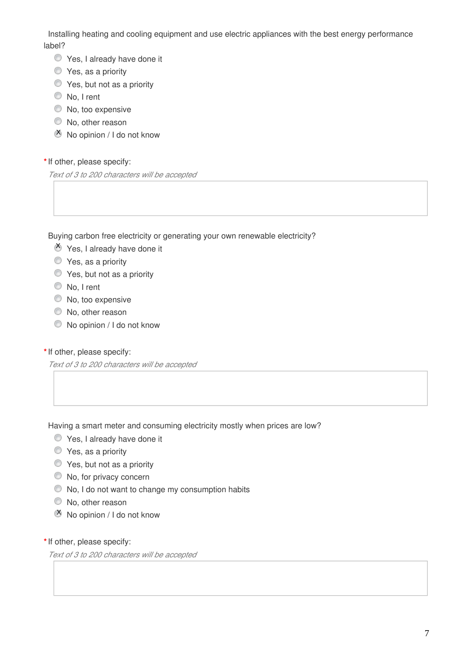Installing heating and cooling equipment and use electric appliances with the best energy performance label?

- Yes, I already have done it
- Yes, as a priority
- **C** Yes, but not as a priority
- $\circledcirc$  No, I rent
- $\bullet$  No, too expensive
- $\bullet$  No, other reason
- $\delta$  No opinion / I do not know

#### **\***If other, please specify:

*Text of 3 to 200 characters will be accepted*

Buying carbon free electricity or generating your own renewable electricity?

- $\delta$  Yes, I already have done it
- Yes, as a priority
- Yes, but not as a priority
- $\circledcirc$  No, I rent
- $\bullet$  No, too expensive
- $\bullet$  No, other reason
- $\bullet$  No opinion / I do not know

**\***If other, please specify:

*Text of 3 to 200 characters will be accepted*

Having a smart meter and consuming electricity mostly when prices are low?

- Yes, I already have done it
- **Yes, as a priority**
- $\bullet$  Yes, but not as a priority
- $\bullet$  No, for privacy concern
- $\bullet$  No, I do not want to change my consumption habits
- $\bullet$  No. other reason
- $\mathbb{X}$  No opinion / I do not know
- **\***If other, please specify:

*Text of 3 to 200 characters will be accepted*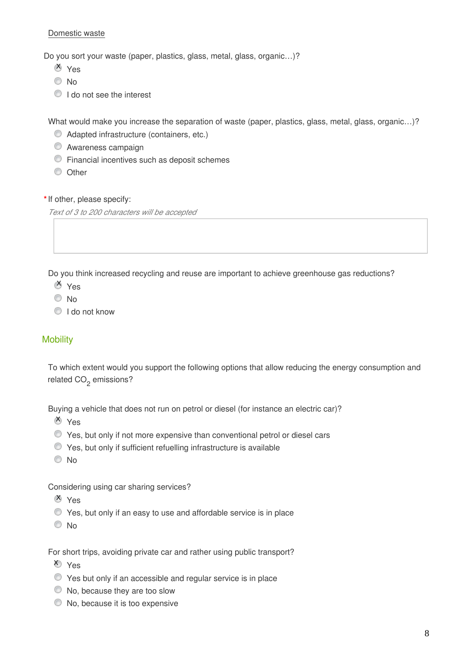#### Domestic waste

Do you sort your waste (paper, plastics, glass, metal, glass, organic…)?

- **X** Yes
- $\odot$  No
- I do not see the interest

What would make you increase the separation of waste (paper, plastics, glass, metal, glass, organic...)?

- Adapted infrastructure (containers, etc.)
- Awareness campaign
- Financial incentives such as deposit schemes
- **O** Other

### **\***If other, please specify:

*Text of 3 to 200 characters will be accepted*

Do you think increased recycling and reuse are important to achieve greenhouse gas reductions?

- Yes X
- O No
- <sup>1</sup> I do not know

### **Mobility**

To which extent would you support the following options that allow reducing the energy consumption and related  $CO<sub>2</sub>$  emissions?

Buying a vehicle that does not run on petrol or diesel (for instance an electric car)?

**X** Yes

- Yes, but only if not more expensive than conventional petrol or diesel cars
- Yes, but only if sufficient refuelling infrastructure is available
- <sup>O</sup>No

Considering using car sharing services?

Yes X

- Yes, but only if an easy to use and affordable service is in place
- © No

For short trips, avoiding private car and rather using public transport?

- Yes X
- Yes but only if an accessible and regular service is in place
- $\bullet$  No, because they are too slow
- $\bullet$  No, because it is too expensive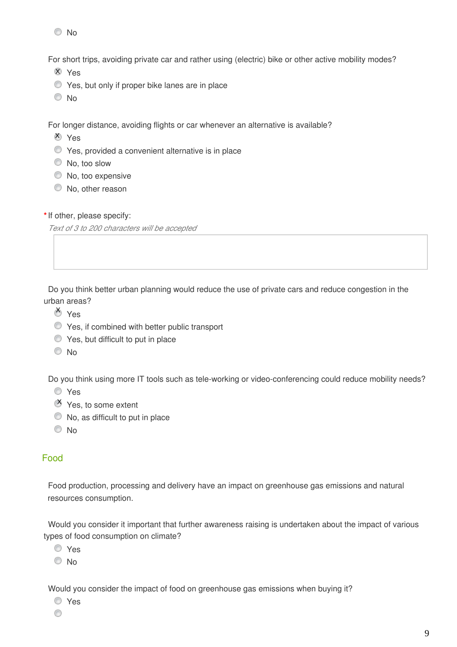```
© No
```
For short trips, avoiding private car and rather using (electric) bike or other active mobility modes?

- Yes X
- Yes, but only if proper bike lanes are in place
- $\odot$  No

For longer distance, avoiding flights or car whenever an alternative is available?

- Yes X
- Yes, provided a convenient alternative is in place
- $\bullet$  No, too slow
- $\bullet$  No, too expensive
- $\bullet$  No, other reason

**\***If other, please specify:

*Text of 3 to 200 characters will be accepted*

Do you think better urban planning would reduce the use of private cars and reduce congestion in the urban areas?

- Yes X
- Yes, if combined with better public transport
- **O** Yes, but difficult to put in place
- $\odot$  No

Do you think using more IT tools such as tele-working or video-conferencing could reduce mobility needs?

- Yes
- Yes, to some extent
- $\bullet$  No, as difficult to put in place
- No

### Food

Food production, processing and delivery have an impact on greenhouse gas emissions and natural resources consumption.

Would you consider it important that further awareness raising is undertaken about the impact of various types of food consumption on climate?

- Yes
- <sup>O</sup>No

Would you consider the impact of food on greenhouse gas emissions when buying it?

Yes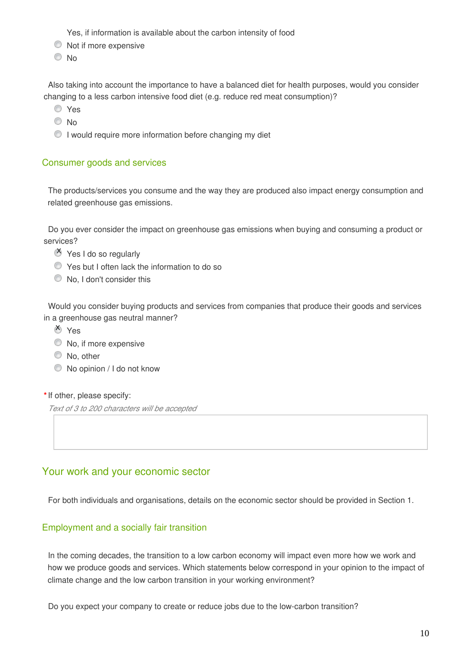Yes, if information is available about the carbon intensity of food

 $\bullet$  Not if more expensive

No

Also taking into account the importance to have a balanced diet for health purposes, would you consider changing to a less carbon intensive food diet (e.g. reduce red meat consumption)?

- Yes
- <sup>O</sup>No
- $\bullet$  I would require more information before changing my diet

### Consumer goods and services

The products/services you consume and the way they are produced also impact energy consumption and related greenhouse gas emissions.

Do you ever consider the impact on greenhouse gas emissions when buying and consuming a product or services?

- $\delta$  Yes I do so regularly
- Yes but I often lack the information to do so
- $\bullet$  No, I don't consider this

Would you consider buying products and services from companies that produce their goods and services in a greenhouse gas neutral manner?

- Yes X
- $\bullet$  No, if more expensive
- $\circledcirc$  No. other
- $\bullet$  No opinion / I do not know

**\***If other, please specify:

*Text of 3 to 200 characters will be accepted*

## Your work and your economic sector

For both individuals and organisations, details on the economic sector should be provided in Section 1.

### Employment and a socially fair transition

In the coming decades, the transition to a low carbon economy will impact even more how we work and how we produce goods and services. Which statements below correspond in your opinion to the impact of climate change and the low carbon transition in your working environment?

Do you expect your company to create or reduce jobs due to the low-carbon transition?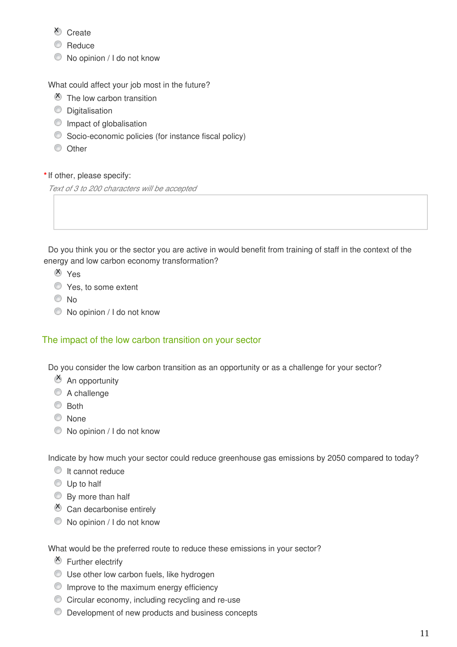- **i**∕ Create
- C Reduce
- $\bullet$  No opinion / I do not know

What could affect your job most in the future?

- $\delta$  The low carbon transition
- C Digitalisation
- **Impact of globalisation**
- Socio-economic policies (for instance fiscal policy)
- O Other

#### **\***If other, please specify:

*Text of 3 to 200 characters will be accepted*

Do you think you or the sector you are active in would benefit from training of staff in the context of the energy and low carbon economy transformation?

**X** Yes

- $\bullet$  Yes, to some extent
- No
- $\bullet$  No opinion / I do not know

### The impact of the low carbon transition on your sector

Do you consider the low carbon transition as an opportunity or as a challenge for your sector?

- $\delta$  An opportunity
- C A challenge
- C Both
- None
- $\bullet$  No opinion / I do not know

Indicate by how much your sector could reduce greenhouse gas emissions by 2050 compared to today?

- **It cannot reduce**
- Up to half
- **By more than half**
- $\delta$  Can decarbonise entirely
- $\bullet$  No opinion / I do not know

What would be the preferred route to reduce these emissions in your sector?

- **D** Further electrify
- Use other low carbon fuels, like hydrogen
- $\bullet$  Improve to the maximum energy efficiency
- Circular economy, including recycling and re-use
- $\bullet$  Development of new products and business concepts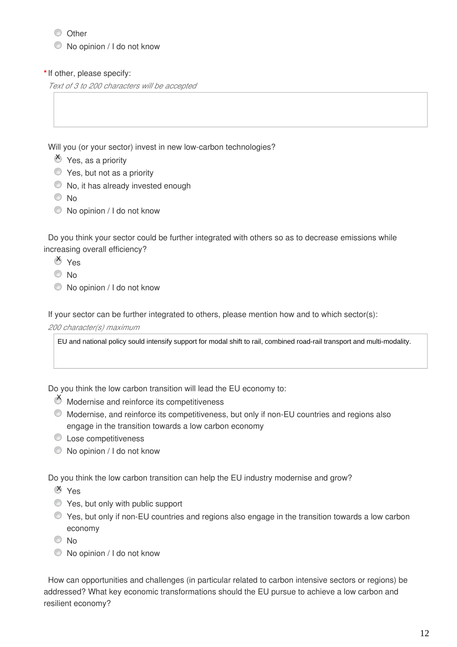### $\circledcirc$  Other

 $\bullet$  No opinion / I do not know

**\***If other, please specify:

*Text of 3 to 200 characters will be accepted*

Will you (or your sector) invest in new low-carbon technologies?

- Yes, as a priority
- **C** Yes, but not as a priority
- $\bullet$  No, it has already invested enough
- © No
- $\bullet$  No opinion / I do not know

Do you think your sector could be further integrated with others so as to decrease emissions while increasing overall efficiency?

- Yes X
- © No
- $\bullet$  No opinion / I do not know

If your sector can be further integrated to others, please mention how and to which sector(s):

*200 character(s) maximum*

EU and national policy sould intensify support for modal shift to rail, combined road-rail transport and multi-modality.

Do you think the low carbon transition will lead the EU economy to:

- $\delta$  Modernise and reinforce its competitiveness
- Modernise, and reinforce its competitiveness, but only if non-EU countries and regions also engage in the transition towards a low carbon economy
- **C** Lose competitiveness
- $\bullet$  No opinion / I do not know

Do you think the low carbon transition can help the EU industry modernise and grow?

Yes X

- $\bullet$  Yes, but only with public support
- Yes, but only if non-EU countries and regions also engage in the transition towards a low carbon economy
- © No
- $\bullet$  No opinion / I do not know

How can opportunities and challenges (in particular related to carbon intensive sectors or regions) be addressed? What key economic transformations should the EU pursue to achieve a low carbon and resilient economy?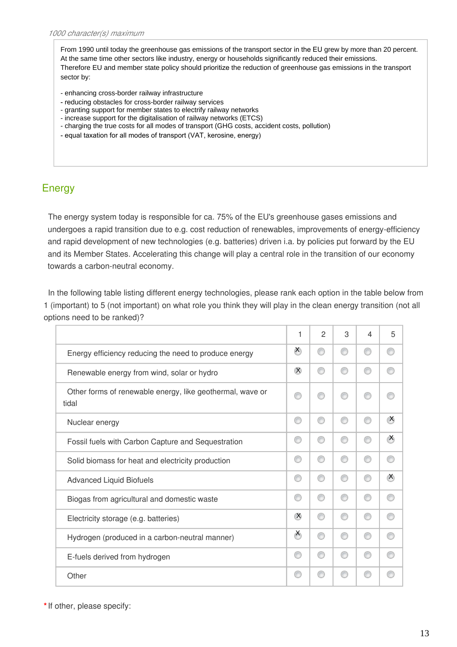From 1990 until today the greenhouse gas emissions of the transport sector in the EU grew by more than 20 percent. At the same time other sectors like industry, energy or households significantly reduced their emissions. Therefore EU and member state policy should prioritize the reduction of greenhouse gas emissions in the transport sector by:

- enhancing cross-border railway infrastructure
- reducing obstacles for cross-border railway services
- granting support for member states to electrify railway networks
- increase support for the digitalisation of railway networks (ETCS)
- charging the true costs for all modes of transport (GHG costs, accident costs, pollution)
- equal taxation for all modes of transport (VAT, kerosine, energy)

## Energy

The energy system today is responsible for ca. 75% of the EU's greenhouse gases emissions and undergoes a rapid transition due to e.g. cost reduction of renewables, improvements of energy-efficiency and rapid development of new technologies (e.g. batteries) driven i.a. by policies put forward by the EU and its Member States. Accelerating this change will play a central role in the transition of our economy towards a carbon-neutral economy.

In the following table listing different energy technologies, please rank each option in the table below from 1 (important) to 5 (not important) on what role you think they will play in the clean energy transition (not all options need to be ranked)?

|                                                                    | 1            | $\mathbf{2}$ | 3 | 4 | 5            |
|--------------------------------------------------------------------|--------------|--------------|---|---|--------------|
| Energy efficiency reducing the need to produce energy              | $\mathbb{X}$ | ⋒            | ⋒ | ⋒ |              |
| Renewable energy from wind, solar or hydro                         | $\infty$     | ⋒            | ⋒ |   |              |
| Other forms of renewable energy, like geothermal, wave or<br>tidal |              |              |   |   |              |
| Nuclear energy                                                     | ∩            | ⋒            | ⋒ |   | $\infty$     |
| Fossil fuels with Carbon Capture and Sequestration                 | ⊙            | ⋒            | A | ⋒ | $\mathbb{X}$ |
| Solid biomass for heat and electricity production                  | ⋒            | ⋒            |   |   |              |
| <b>Advanced Liquid Biofuels</b>                                    | ∩            | ⋒            | ⋒ |   | $\infty$     |
| Biogas from agricultural and domestic waste                        | ∩            | ⋒            | ⋒ |   |              |
| Electricity storage (e.g. batteries)                               | $\mathsf{X}$ | ⋒            | ⋒ |   |              |
| Hydrogen (produced in a carbon-neutral manner)                     | $\triangle$  | ⋒            | ⋒ |   |              |
| E-fuels derived from hydrogen                                      | ⊙            |              |   |   |              |
| Other                                                              | ⋒            |              |   |   |              |

**\***If other, please specify: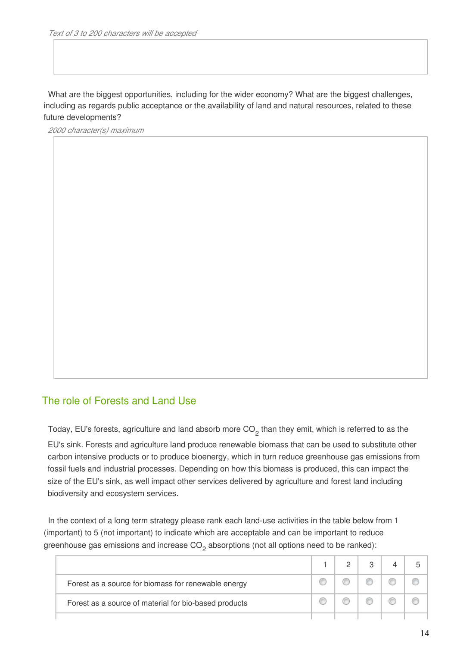What are the biggest opportunities, including for the wider economy? What are the biggest challenges, including as regards public acceptance or the availability of land and natural resources, related to these future developments?

*2000 character(s) maximum*

## The role of Forests and Land Use

Today, EU's forests, agriculture and land absorb more  $CO<sub>2</sub>$  than they emit, which is referred to as the EU's sink. Forests and agriculture land produce renewable biomass that can be used to substitute other carbon intensive products or to produce bioenergy, which in turn reduce greenhouse gas emissions from fossil fuels and industrial processes. Depending on how this biomass is produced, this can impact the size of the EU's sink, as well impact other services delivered by agriculture and forest land including biodiversity and ecosystem services.

In the context of a long term strategy please rank each land-use activities in the table below from 1 (important) to 5 (not important) to indicate which are acceptable and can be important to reduce greenhouse gas emissions and increase  $CO<sub>2</sub>$  absorptions (not all options need to be ranked):

| Forest as a source for biomass for renewable energy   |  |  |  |
|-------------------------------------------------------|--|--|--|
| Forest as a source of material for bio-based products |  |  |  |
|                                                       |  |  |  |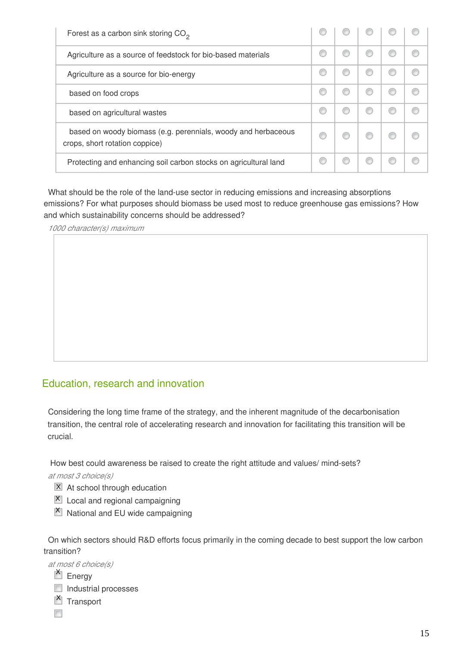| Forest as a carbon sink storing $CO2$                                                           |  |  |  |
|-------------------------------------------------------------------------------------------------|--|--|--|
| Agriculture as a source of feedstock for bio-based materials                                    |  |  |  |
| Agriculture as a source for bio-energy                                                          |  |  |  |
| based on food crops                                                                             |  |  |  |
| based on agricultural wastes                                                                    |  |  |  |
| based on woody biomass (e.g. perennials, woody and herbaceous<br>crops, short rotation coppice) |  |  |  |
| Protecting and enhancing soil carbon stocks on agricultural land                                |  |  |  |

What should be the role of the land-use sector in reducing emissions and increasing absorptions emissions? For what purposes should biomass be used most to reduce greenhouse gas emissions? How and which sustainability concerns should be addressed?

*1000 character(s) maximum*

## Education, research and innovation

Considering the long time frame of the strategy, and the inherent magnitude of the decarbonisation transition, the central role of accelerating research and innovation for facilitating this transition will be crucial.

How best could awareness be raised to create the right attitude and values/ mind-sets?

*at most 3 choice(s)*

- X At school through education
- $\times$  Local and regional campaigning
- $\blacksquare$  National and EU wide campaigning

On which sectors should R&D efforts focus primarily in the coming decade to best support the low carbon transition?

*at most 6 choice(s)*

- $\overline{\triangle}$  Energy
- Industrial processes
- $\overline{\Delta}$  Transport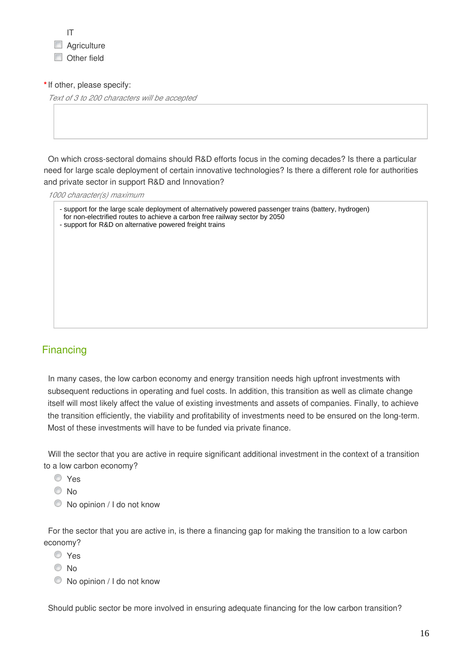

#### **\***If other, please specify:

*Text of 3 to 200 characters will be accepted*

On which cross-sectoral domains should R&D efforts focus in the coming decades? Is there a particular need for large scale deployment of certain innovative technologies? Is there a different role for authorities and private sector in support R&D and Innovation?

*1000 character(s) maximum*



## **Financing**

In many cases, the low carbon economy and energy transition needs high upfront investments with subsequent reductions in operating and fuel costs. In addition, this transition as well as climate change itself will most likely affect the value of existing investments and assets of companies. Finally, to achieve the transition efficiently, the viability and profitability of investments need to be ensured on the long-term. Most of these investments will have to be funded via private finance.

Will the sector that you are active in require significant additional investment in the context of a transition to a low carbon economy?

- Yes X
- No
- $\bullet$  No opinion / I do not know

For the sector that you are active in, is there a financing gap for making the transition to a low carbon economy?

- Yes X
- © No
- $\bullet$  No opinion / I do not know

Should public sector be more involved in ensuring adequate financing for the low carbon transition?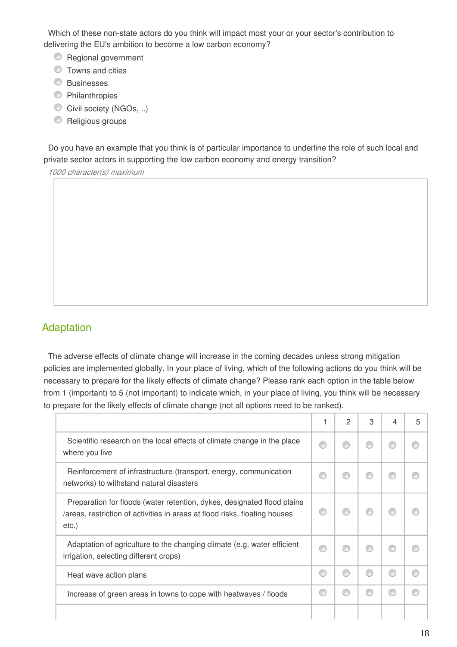Which of these non-state actors do you think will impact most your or your sector's contribution to delivering the EU's ambition to become a low carbon economy?

- **Regional government**
- **Towns and cities**
- **Businesses**
- **C** Philanthropies
- Civil society (NGOs, ..)
- **Religious groups**

Do you have an example that you think is of particular importance to underline the role of such local and private sector actors in supporting the low carbon economy and energy transition?

*1000 character(s) maximum*

## Adaptation

The adverse effects of climate change will increase in the coming decades unless strong mitigation policies are implemented globally. In your place of living, which of the following actions do you think will be necessary to prepare for the likely effects of climate change? Please rank each option in the table below from 1 (important) to 5 (not important) to indicate which, in your place of living, you think will be necessary to prepare for the likely effects of climate change (not all options need to be ranked).

|                                                                                                                                                                   |   | 2 | 3 | 4 | 5 |
|-------------------------------------------------------------------------------------------------------------------------------------------------------------------|---|---|---|---|---|
| Scientific research on the local effects of climate change in the place<br>where you live                                                                         |   |   |   |   |   |
| Reinforcement of infrastructure (transport, energy, communication<br>networks) to withstand natural disasters                                                     | € |   |   |   |   |
| Preparation for floods (water retention, dykes, designated flood plains<br>/areas, restriction of activities in areas at flood risks, floating houses<br>$etc.$ ) |   |   |   |   |   |
| Adaptation of agriculture to the changing climate (e.g. water efficient<br>irrigation, selecting different crops)                                                 | € |   |   |   |   |
| Heat wave action plans                                                                                                                                            | € |   |   |   |   |
| Increase of green areas in towns to cope with heatwaves / floods                                                                                                  |   |   |   |   |   |
|                                                                                                                                                                   |   |   |   |   |   |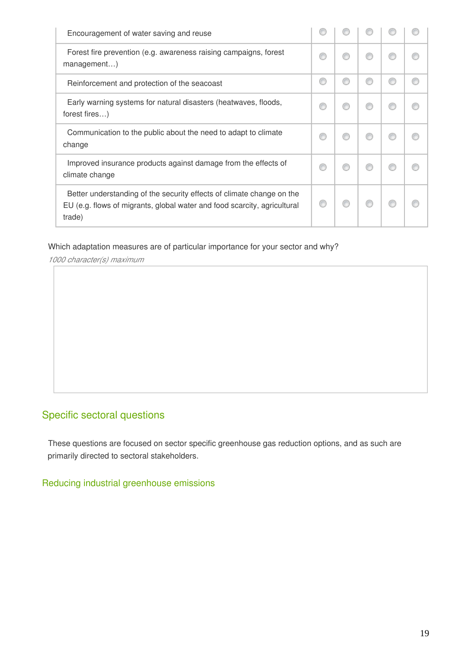| Encouragement of water saving and reuse                                                                                                                     |   |  |  |
|-------------------------------------------------------------------------------------------------------------------------------------------------------------|---|--|--|
| Forest fire prevention (e.g. awareness raising campaigns, forest<br>management)                                                                             |   |  |  |
| Reinforcement and protection of the seacoast                                                                                                                | ⋒ |  |  |
| Early warning systems for natural disasters (heatwaves, floods,<br>forest fires)                                                                            | O |  |  |
| Communication to the public about the need to adapt to climate<br>change                                                                                    |   |  |  |
| Improved insurance products against damage from the effects of<br>climate change                                                                            | ⋒ |  |  |
| Better understanding of the security effects of climate change on the<br>EU (e.g. flows of migrants, global water and food scarcity, agricultural<br>trade) |   |  |  |

Which adaptation measures are of particular importance for your sector and why?

*1000 character(s) maximum*

## Specific sectoral questions

These questions are focused on sector specific greenhouse gas reduction options, and as such are primarily directed to sectoral stakeholders.

### Reducing industrial greenhouse emissions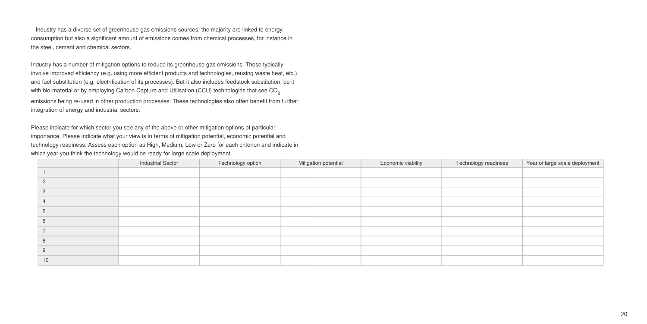Industry has a diverse set of greenhouse gas emissions sources, the majority are linked to energy consumption but also a significant amount of emissions comes from chemical processes, for instance in the steel, cement and chemical sectors.

Industry has a number of mitigation options to reduce its greenhouse gas emissions. These typically involve improved efficiency (e.g. using more efficient products and technologies, reusing waste heat, etc.) and fuel substitution (e.g. electrification of its processes). But it also includes feedstock substitution, be it with bio-material or by employing Carbon Capture and Utilisation (CCU) technologies that see CO<sub>2</sub> emissions being re-used in other production processes. These technologies also often benefit from further integration of energy and industrial sectors.

Please indicate for which sector you see any of the above or other mitigation options of particular importance. Please indicate what your view is in terms of mitigation potential, economic potential and technology readiness. Assess each option as High, Medium, Low or Zero for each criterion and indicate in which year you think the technology would be ready for large scale deployment.

|                | <b>Industrial Sector</b> | Technology option | Mitigation potential | Economic viability | Technology readiness | Year of large scale deployment |
|----------------|--------------------------|-------------------|----------------------|--------------------|----------------------|--------------------------------|
|                |                          |                   |                      |                    |                      |                                |
| $\overline{2}$ |                          |                   |                      |                    |                      |                                |
| 3              |                          |                   |                      |                    |                      |                                |
|                |                          |                   |                      |                    |                      |                                |
| $\circ$        |                          |                   |                      |                    |                      |                                |
| 6              |                          |                   |                      |                    |                      |                                |
|                |                          |                   |                      |                    |                      |                                |
| 8              |                          |                   |                      |                    |                      |                                |
| 9              |                          |                   |                      |                    |                      |                                |
| 10             |                          |                   |                      |                    |                      |                                |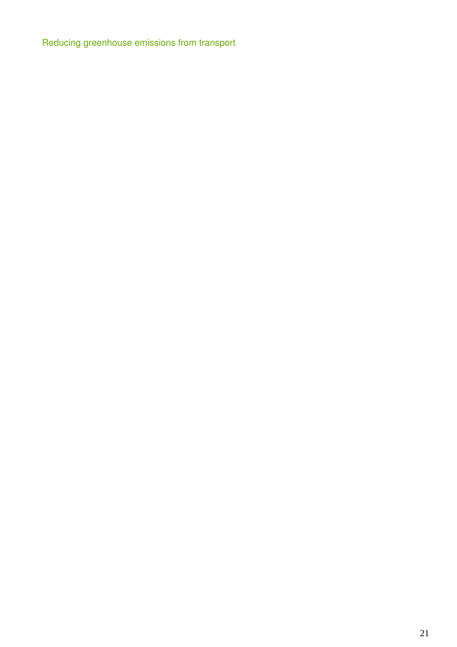Reducing greenhouse emissions from transport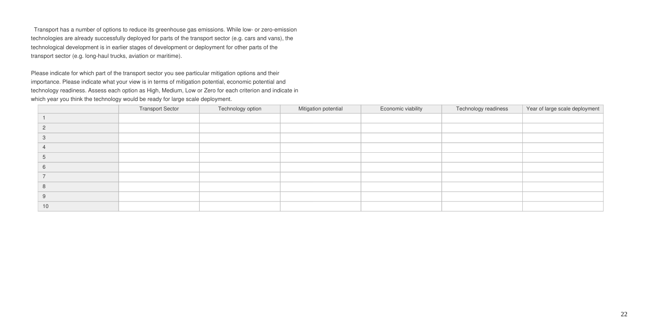Transport has a number of options to reduce its greenhouse gas emissions. While low- or zero-emission technologies are already successfully deployed for parts of the transport sector (e.g. cars and vans), the technological development is in earlier stages of development or deployment for other parts of the transport sector (e.g. long-haul trucks, aviation or maritime).

Please indicate for which part of the transport sector you see particular mitigation options and their importance. Please indicate what your view is in terms of mitigation potential, economic potential and technology readiness. Assess each option as High, Medium, Low or Zero for each criterion and indicate in which year you think the technology would be ready for large scale deployment.

|                | <b>Transport Sector</b> | Technology option | Mitigation potential | Economic viability | Technology readiness | Year of large scale deployment |
|----------------|-------------------------|-------------------|----------------------|--------------------|----------------------|--------------------------------|
|                |                         |                   |                      |                    |                      |                                |
| $\overline{2}$ |                         |                   |                      |                    |                      |                                |
|                |                         |                   |                      |                    |                      |                                |
|                |                         |                   |                      |                    |                      |                                |
| C              |                         |                   |                      |                    |                      |                                |
| 6              |                         |                   |                      |                    |                      |                                |
|                |                         |                   |                      |                    |                      |                                |
|                |                         |                   |                      |                    |                      |                                |
|                |                         |                   |                      |                    |                      |                                |
| 10             |                         |                   |                      |                    |                      |                                |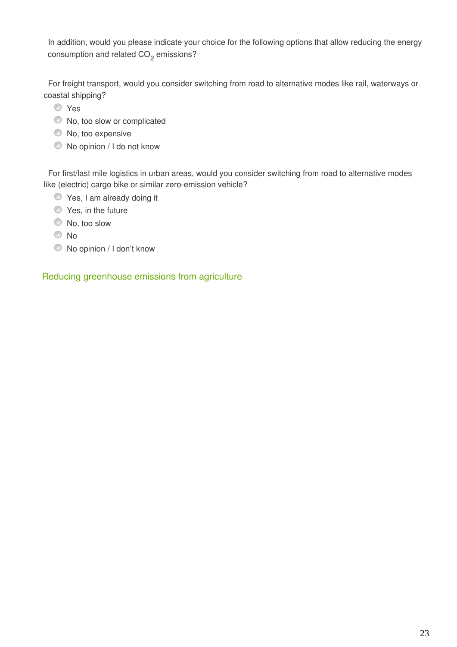In addition, would you please indicate your choice for the following options that allow reducing the energy consumption and related  $CO<sub>2</sub>$  emissions?

For freight transport, would you consider switching from road to alternative modes like rail, waterways or coastal shipping?

- Yes
- $\bullet$  No, too slow or complicated
- $\bullet$  No, too expensive
- $\bigcirc$  No opinion / I do not know

For first/last mile logistics in urban areas, would you consider switching from road to alternative modes like (electric) cargo bike or similar zero-emission vehicle?

- Yes, I am already doing it
- **Yes, in the future**
- $\bullet$  No, too slow
- No
- No opinion / I don't know

Reducing greenhouse emissions from agriculture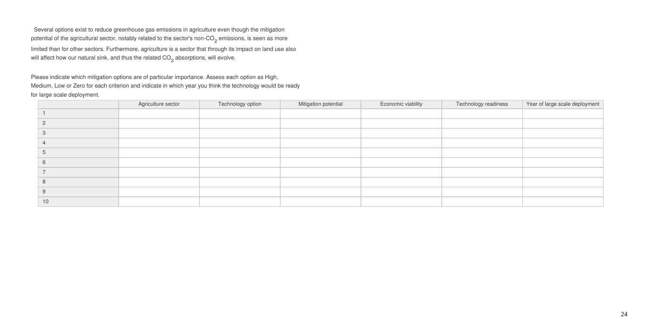Several options exist to reduce greenhouse gas emissions in agriculture even though the mitigation potential of the agricultural sector, notably related to the sector's non-CO<sub>2</sub> emissions, is seen as more limited than for other sectors. Furthermore, agriculture is a sector that through its impact on land use also will affect how our natural sink, and thus the related  $CO<sub>2</sub>$  absorptions, will evolve.

Please indicate which mitigation options are of particular importance. Assess each option as High, Medium, Low or Zero for each criterion and indicate in which year you think the technology would be ready for large scale deployment.

|    | Agriculture sector | Technology option | Mitigation potential | Economic viability | Technology readiness | Year of large scale deployment |
|----|--------------------|-------------------|----------------------|--------------------|----------------------|--------------------------------|
|    |                    |                   |                      |                    |                      |                                |
|    |                    |                   |                      |                    |                      |                                |
|    |                    |                   |                      |                    |                      |                                |
|    |                    |                   |                      |                    |                      |                                |
|    |                    |                   |                      |                    |                      |                                |
|    |                    |                   |                      |                    |                      |                                |
|    |                    |                   |                      |                    |                      |                                |
|    |                    |                   |                      |                    |                      |                                |
|    |                    |                   |                      |                    |                      |                                |
| 10 |                    |                   |                      |                    |                      |                                |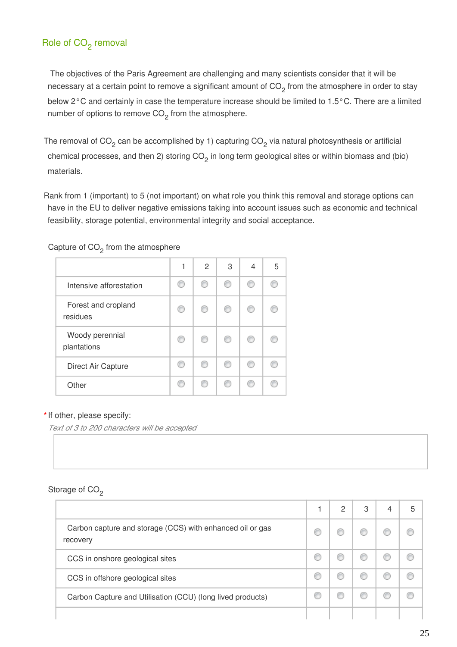## Role of  $CO<sub>2</sub>$  removal

 The objectives of the Paris Agreement are challenging and many scientists consider that it will be necessary at a certain point to remove a significant amount of  $CO<sub>2</sub>$  from the atmosphere in order to stay below 2°C and certainly in case the temperature increase should be limited to 1.5°C. There are a limited number of options to remove  $CO<sub>2</sub>$  from the atmosphere.

The removal of CO<sub>2</sub> can be accomplished by 1) capturing CO<sub>2</sub> via natural photosynthesis or artificial chemical processes, and then 2) storing  $CO<sub>2</sub>$  in long term geological sites or within biomass and (bio) materials.

Rank from 1 (important) to 5 (not important) on what role you think this removal and storage options can have in the EU to deliver negative emissions taking into account issues such as economic and technical feasibility, storage potential, environmental integrity and social acceptance.

|                                 | 1  | 2 | 3 | 4 | 5 |
|---------------------------------|----|---|---|---|---|
| Intensive afforestation         |    |   | € | O |   |
| Forest and cropland<br>residues | 0  | œ | O | ⊙ |   |
| Woody perennial<br>plantations  | 63 |   | € | ◎ |   |
| Direct Air Capture              |    |   | € | ◎ |   |
| Other                           |    |   |   | O |   |

Capture of  $CO<sub>2</sub>$  from the atmosphere

#### **\***If other, please specify:

*Text of 3 to 200 characters will be accepted*

#### Storage of  $CO<sub>2</sub>$

|                                                                       | 2   | 3 | 4 | 5 |
|-----------------------------------------------------------------------|-----|---|---|---|
| Carbon capture and storage (CCS) with enhanced oil or gas<br>recovery |     |   |   |   |
| CCS in onshore geological sites                                       |     |   |   |   |
| CCS in offshore geological sites                                      |     |   |   |   |
| Carbon Capture and Utilisation (CCU) (long lived products)            | O., |   |   |   |
|                                                                       |     |   |   |   |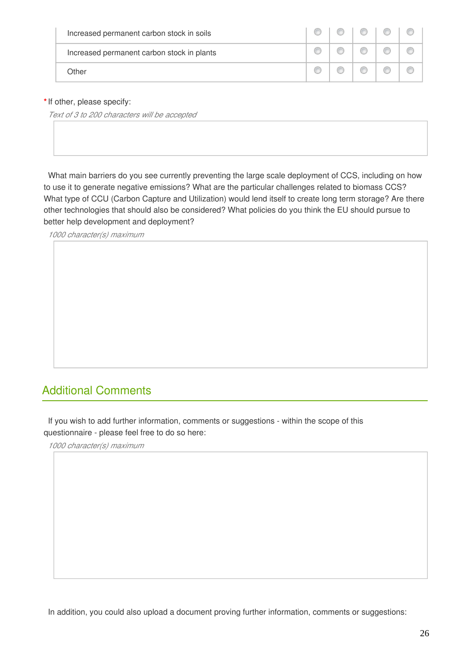| Increased permanent carbon stock in soils  |  | ⊙ | ∩ |  |
|--------------------------------------------|--|---|---|--|
| Increased permanent carbon stock in plants |  |   |   |  |
| Other                                      |  |   |   |  |

#### **\***If other, please specify:

*Text of 3 to 200 characters will be accepted*

What main barriers do you see currently preventing the large scale deployment of CCS, including on how to use it to generate negative emissions? What are the particular challenges related to biomass CCS? What type of CCU (Carbon Capture and Utilization) would lend itself to create long term storage? Are there other technologies that should also be considered? What policies do you think the EU should pursue to better help development and deployment?

*1000 character(s) maximum*

# Additional Comments

If you wish to add further information, comments or suggestions - within the scope of this questionnaire - please feel free to do so here:

*1000 character(s) maximum*